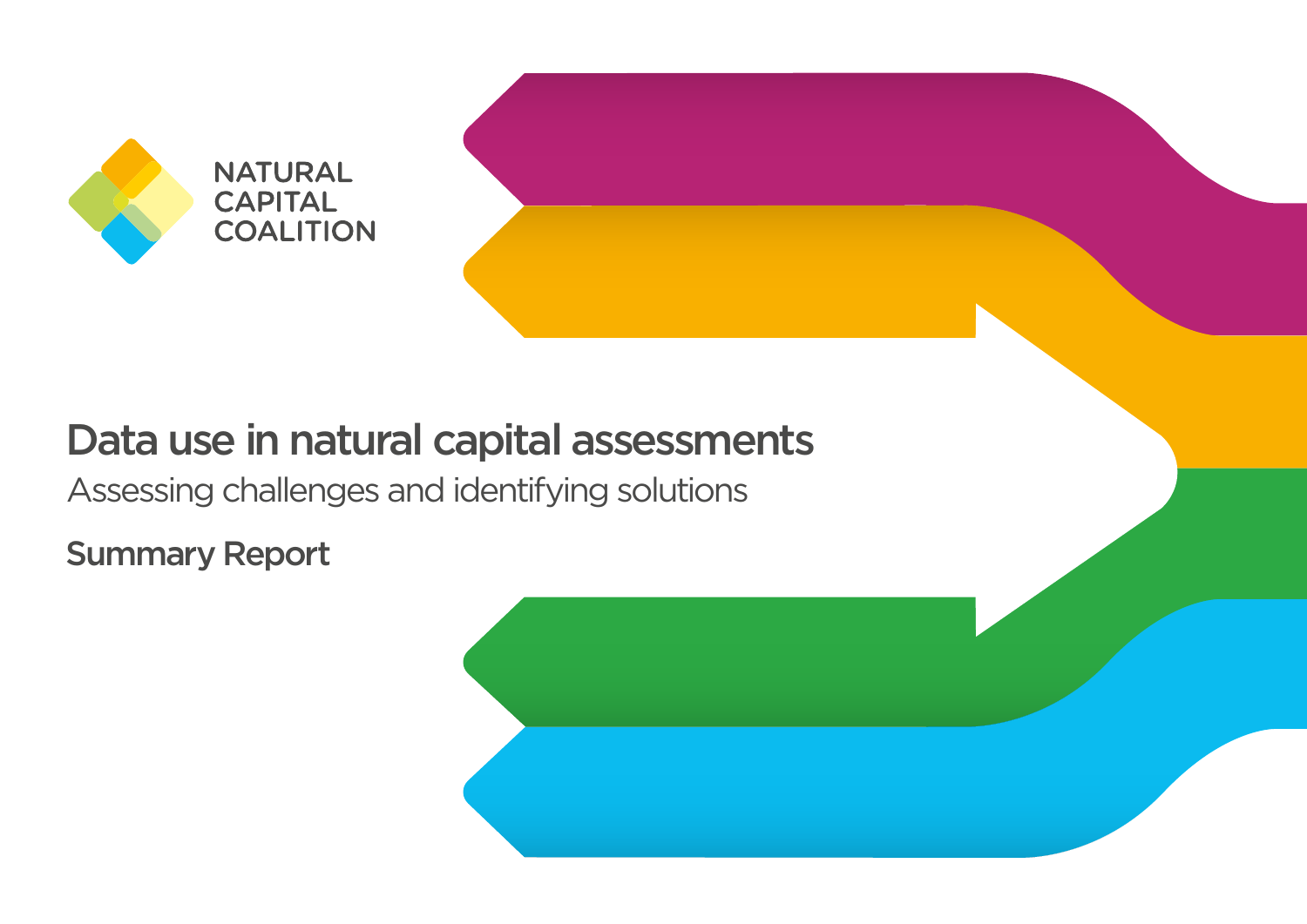

# Data use in natural capital assessments

Assessing challenges and identifying solutions

Summary Report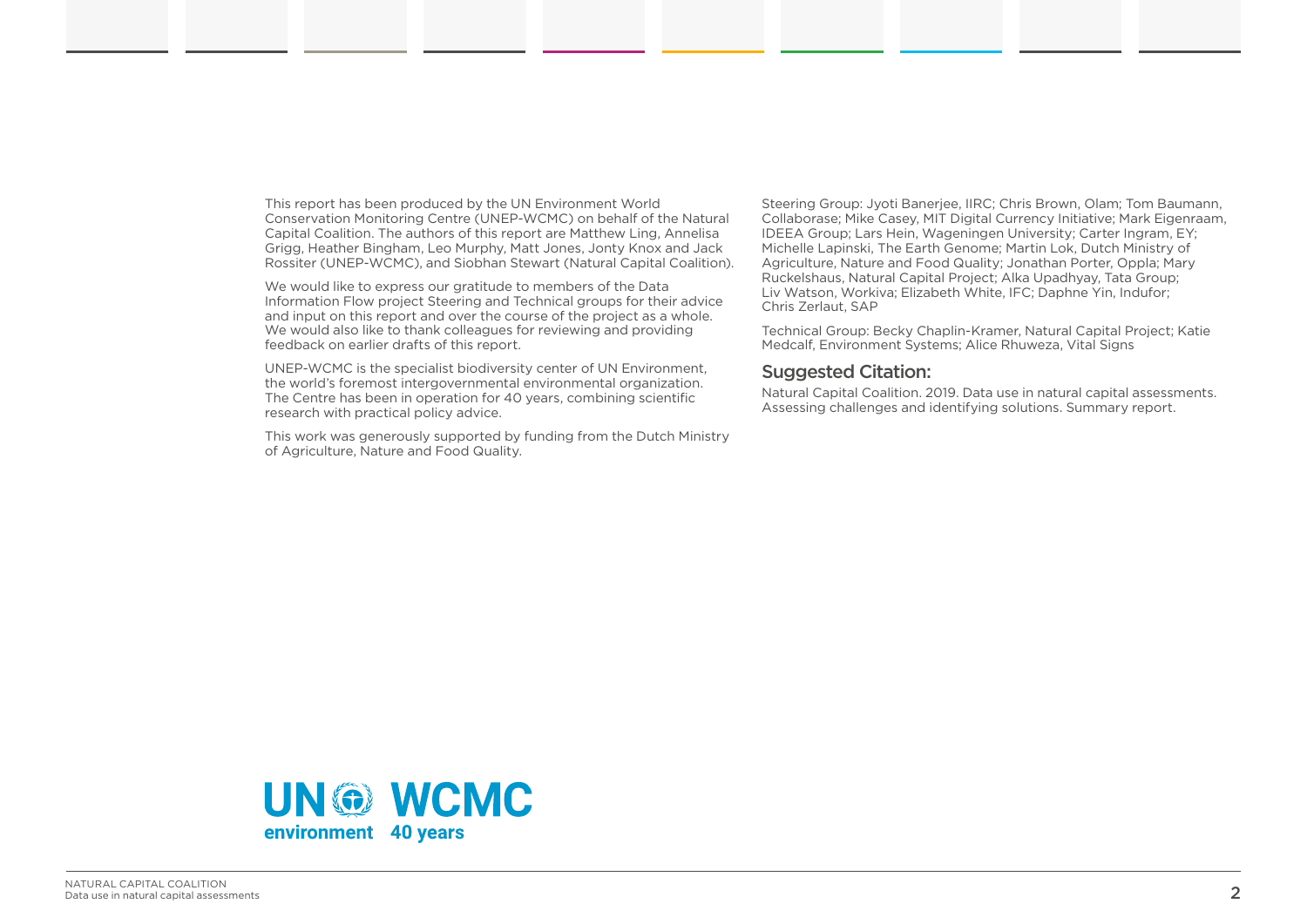This report has been produced by the UN Environment World Conservation Monitoring Centre (UNEP-WCMC) on behalf of the Natural Capital Coalition. The authors of this report are Matthew Ling, Annelisa Grigg, Heather Bingham, Leo Murphy, Matt Jones, Jonty Knox and Jack Rossiter (UNEP-WCMC), and Siobhan Stewart (Natural Capital Coalition).

We would like to express our gratitude to members of the Data Information Flow project Steering and Technical groups for their advice and input on this report and over the course of the project as a whole. We would also like to thank colleagues for reviewing and providing feedback on earlier drafts of this report.

UNEP-WCMC is the specialist biodiversity center of UN Environment, the world's foremost intergovernmental environmental organization. The Centre has been in operation for 40 years, combining scientific research with practical policy advice.

This work was generously supported by funding from the Dutch Ministry of Agriculture, Nature and Food Quality.

Steering Group: Jyoti Banerjee, IIRC; Chris Brown, Olam; Tom Baumann, Collaborase; Mike Casey, MIT Digital Currency Initiative; Mark Eigenraam, IDEEA Group; Lars Hein, Wageningen University; Carter Ingram, EY; Michelle Lapinski, The Earth Genome; Martin Lok, Dutch Ministry of Agriculture, Nature and Food Quality; Jonathan Porter, Oppla; Mary Ruckelshaus, Natural Capital Project; Alka Upadhyay, Tata Group; Liv Watson, Workiva; Elizabeth White, IFC; Daphne Yin, Indufor; Chris Zerlaut, SAP

Technical Group: Becky Chaplin-Kramer, Natural Capital Project; Katie Medcalf, Environment Systems; Alice Rhuweza, Vital Signs

#### Suggested Citation:

Natural Capital Coalition. 2019. Data use in natural capital assessments. Assessing challenges and identifying solutions. Summary report.

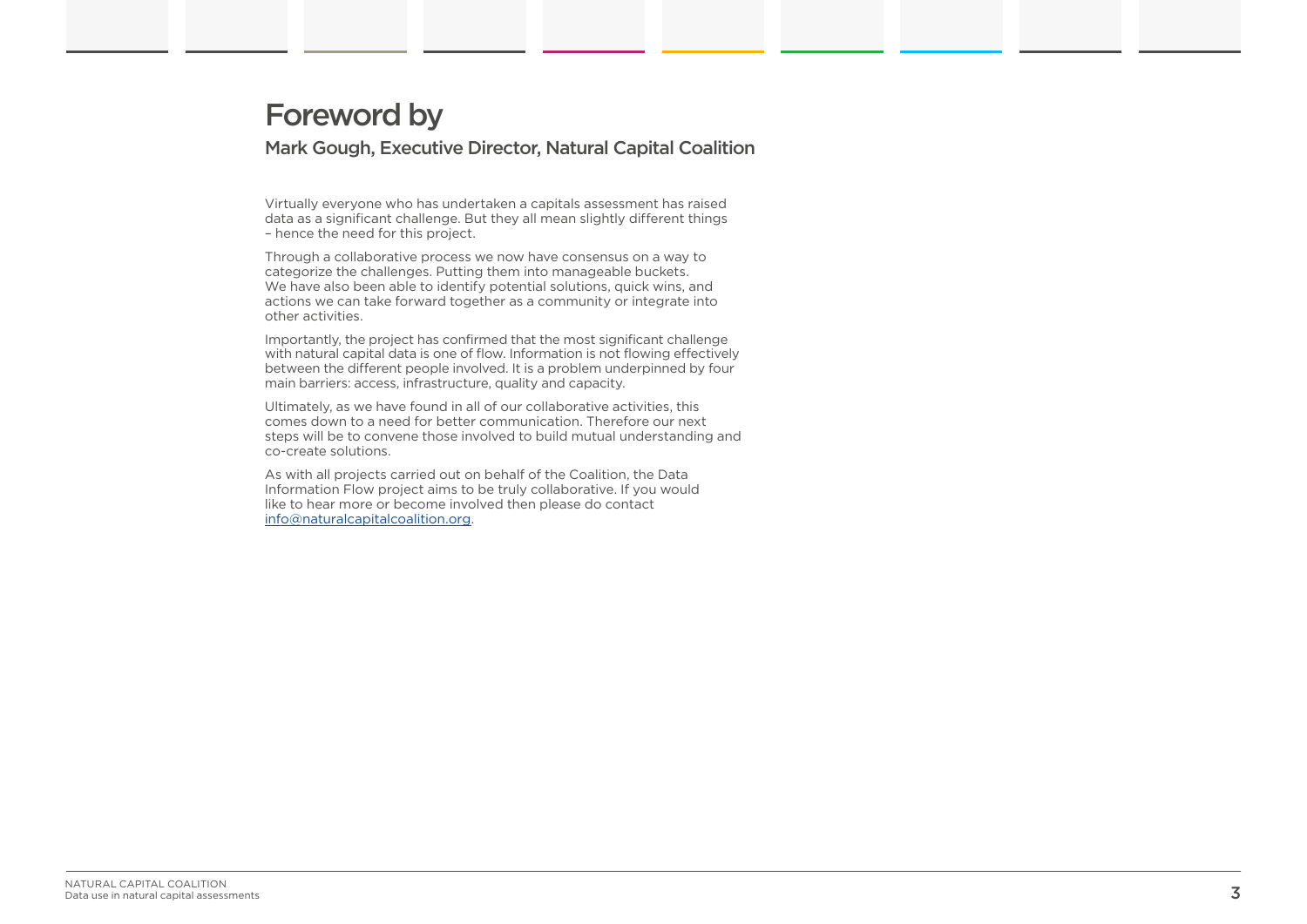### Foreword by Mark Gough, Executive Director, Natural Capital Coalition

Virtually everyone who has undertaken a capitals assessment has raised data as a significant challenge. But they all mean slightly different things – hence the need for this project.

Through a collaborative process we now have consensus on a way to categorize the challenges. Putting them into manageable buckets. We have also been able to identify potential solutions, quick wins, and actions we can take forward together as a community or integrate into other activities.

Importantly, the project has confirmed that the most significant challenge with natural capital data is one of flow. Information is not flowing effectively between the different people involved. It is a problem underpinned by four main barriers: access, infrastructure, quality and capacity.

Ultimately, as we have found in all of our collaborative activities, this comes down to a need for better communication. Therefore our next steps will be to convene those involved to build mutual understanding and co-create solutions.

As with all projects carried out on behalf of the Coalition, the Data Information Flow project aims to be truly collaborative. If you would like to hear more or become involved then please do contact info@naturalcapitalcoalition.org.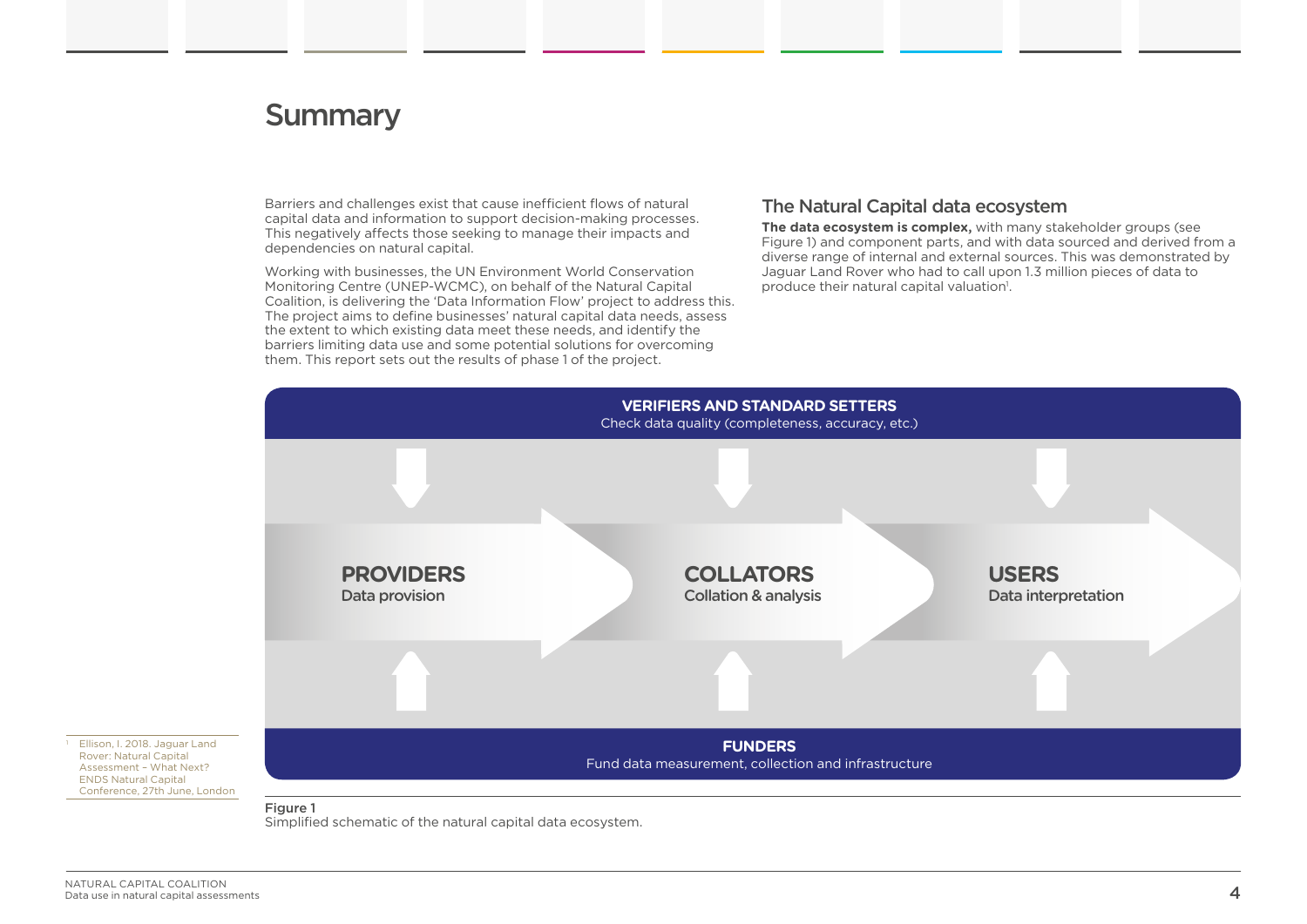## **Summary**

Barriers and challenges exist that cause inefficient flows of natural capital data and information to support decision-making processes. This negatively affects those seeking to manage their impacts and dependencies on natural capital.

Working with businesses, the UN Environment World Conservation Monitoring Centre (UNEP-WCMC), on behalf of the Natural Capital Coalition, is delivering the 'Data Information Flow' project to address this. The project aims to define businesses' natural capital data needs, assess the extent to which existing data meet these needs, and identify the barriers limiting data use and some potential solutions for overcoming them. This report sets out the results of phase 1 of the project.

#### The Natural Capital data ecosystem

**The data ecosystem is complex,** with many stakeholder groups (see Figure 1) and component parts, and with data sourced and derived from a diverse range of internal and external sources. This was demonstrated by Jaguar Land Rover who had to call upon 1.3 million pieces of data to produce their natural capital valuation<sup>1</sup>.



Figure 1

Simplified schematic of the natural capital data ecosystem.

 Ellison, I. 2018. Jaguar Land Rover: Natural Capital Assessment – What Next? ENDS Natural Capital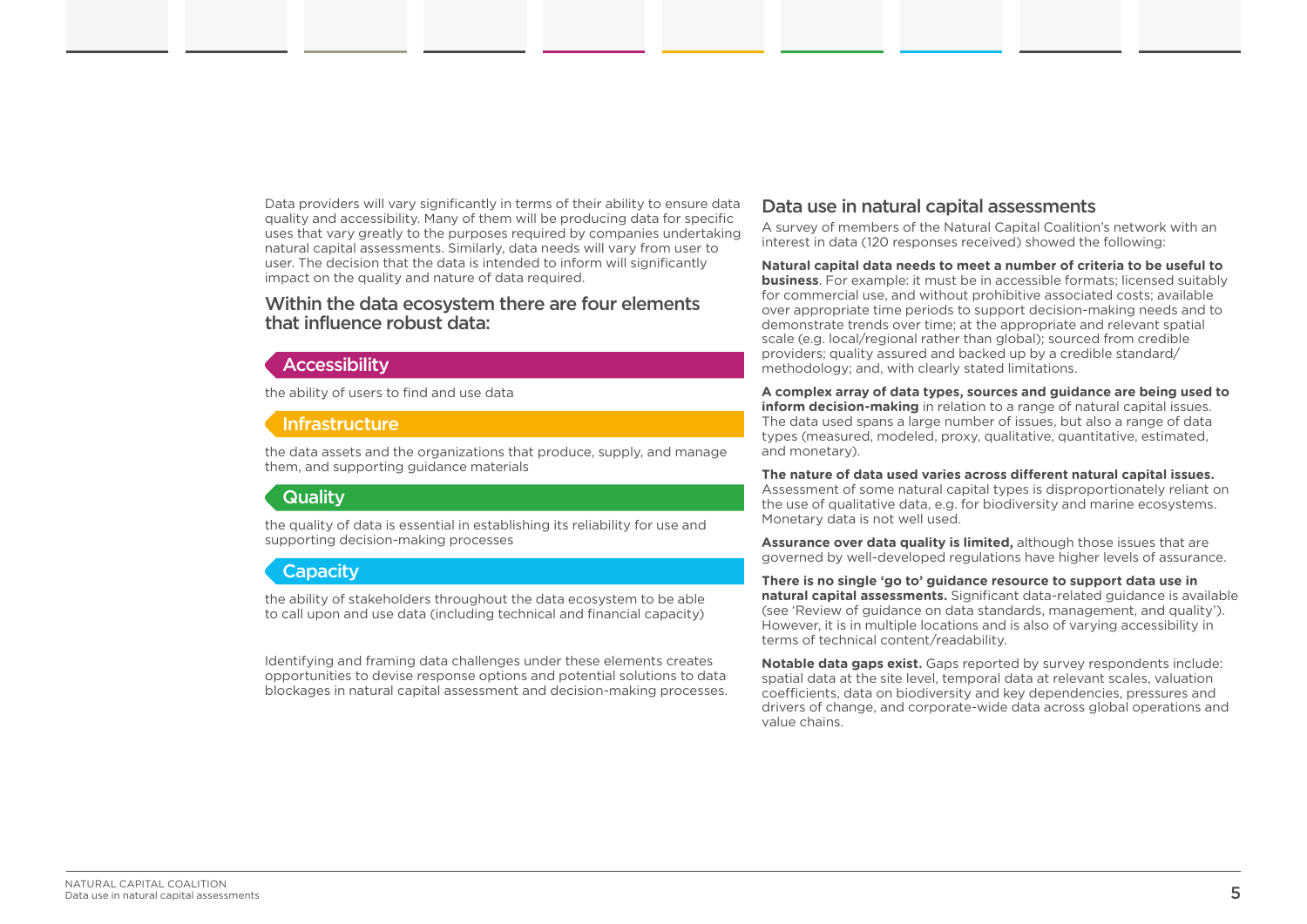Data providers will vary significantly in terms of their ability to ensure data quality and accessibility. Many of them will be producing data for specific uses that vary greatly to the purposes required by companies undertaking natural capital assessments. Similarly, data needs will vary from user to user. The decision that the data is intended to inform will significantly impact on the quality and nature of data required.

#### Within the data ecosystem there are four elements that influence robust data:

#### **Accessibility**

the ability of users to find and use data

#### Infrastructure

the data assets and the organizations that produce, supply, and manage them, and supporting guidance materials

### **Quality**

the quality of data is essential in establishing its reliability for use and supporting decision-making processes

### Capacity

the ability of stakeholders throughout the data ecosystem to be able to call upon and use data (including technical and financial capacity)

Identifying and framing data challenges under these elements creates opportunities to devise response options and potential solutions to data blockages in natural capital assessment and decision-making processes.

#### Data use in natural capital assessments

A survey of members of the Natural Capital Coalition's network with an interest in data (120 responses received) showed the following:

**Natural capital data needs to meet a number of criteria to be useful to business**. For example: it must be in accessible formats; licensed suitably for commercial use, and without prohibitive associated costs; available over appropriate time periods to support decision-making needs and to demonstrate trends over time; at the appropriate and relevant spatial scale (e.g. local/regional rather than global); sourced from credible providers; quality assured and backed up by a credible standard/ methodology; and, with clearly stated limitations.

**A complex array of data types, sources and guidance are being used to inform decision-making** in relation to a range of natural capital issues. The data used spans a large number of issues, but also a range of data types (measured, modeled, proxy, qualitative, quantitative, estimated, and monetary).

**The nature of data used varies across different natural capital issues.** Assessment of some natural capital types is disproportionately reliant on the use of qualitative data, e.g. for biodiversity and marine ecosystems. Monetary data is not well used.

**Assurance over data quality is limited,** although those issues that are governed by well-developed regulations have higher levels of assurance.

**There is no single 'go to' guidance resource to support data use in natural capital assessments.** Significant data-related guidance is available (see 'Review of guidance on data standards, management, and quality'). However, it is in multiple locations and is also of varying accessibility in terms of technical content/readability.

**Notable data gaps exist.** Gaps reported by survey respondents include: spatial data at the site level, temporal data at relevant scales, valuation coefficients, data on biodiversity and key dependencies, pressures and drivers of change, and corporate-wide data across global operations and value chains.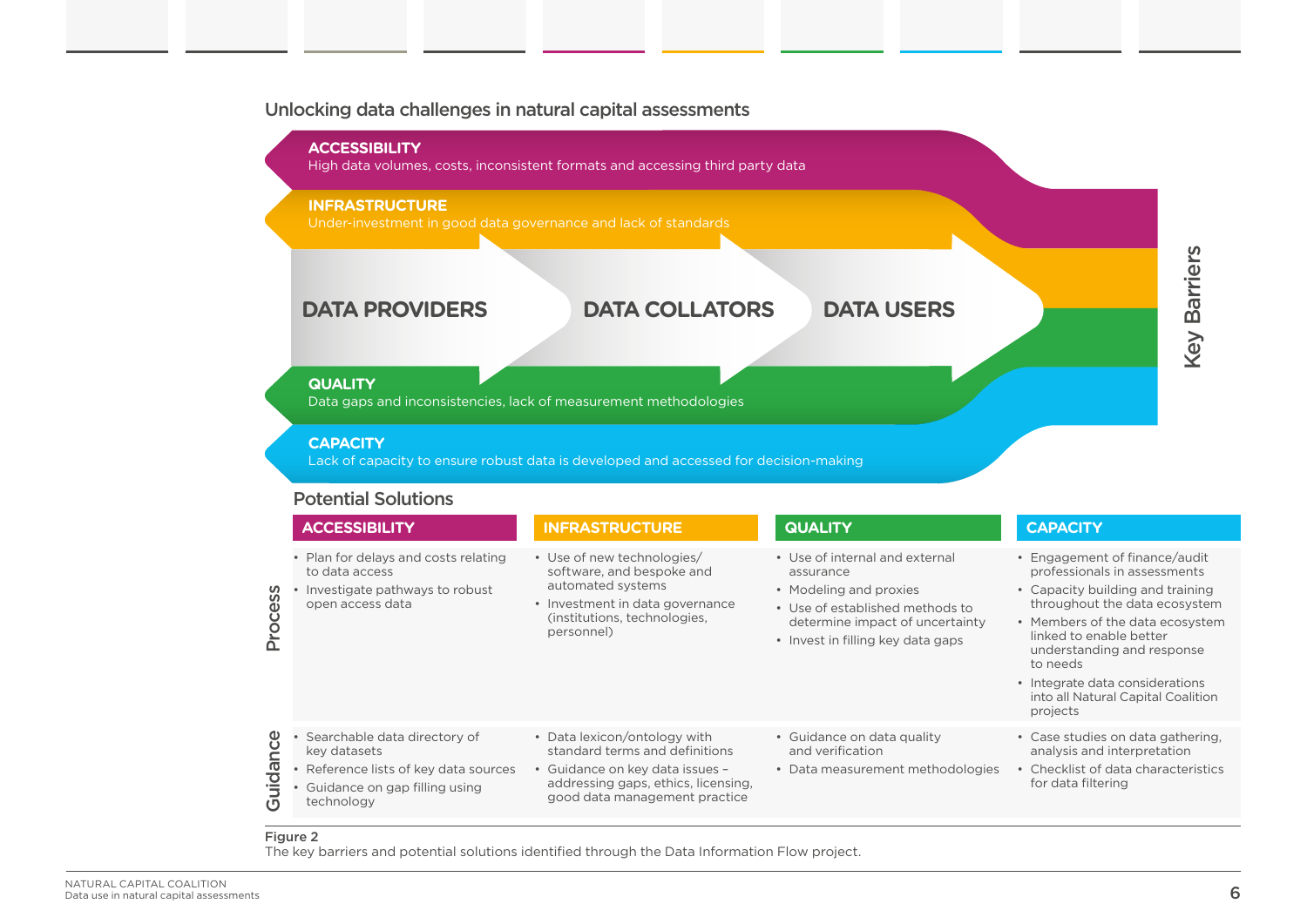#### Unlocking data challenges in natural capital assessments



• Checklist of data characteristics for data filtering

#### Figure 2

• Guidance on gap filling using

technology

The key barriers and potential solutions identified through the Data Information Flow project.

addressing gaps, ethics, licensing, good data management practice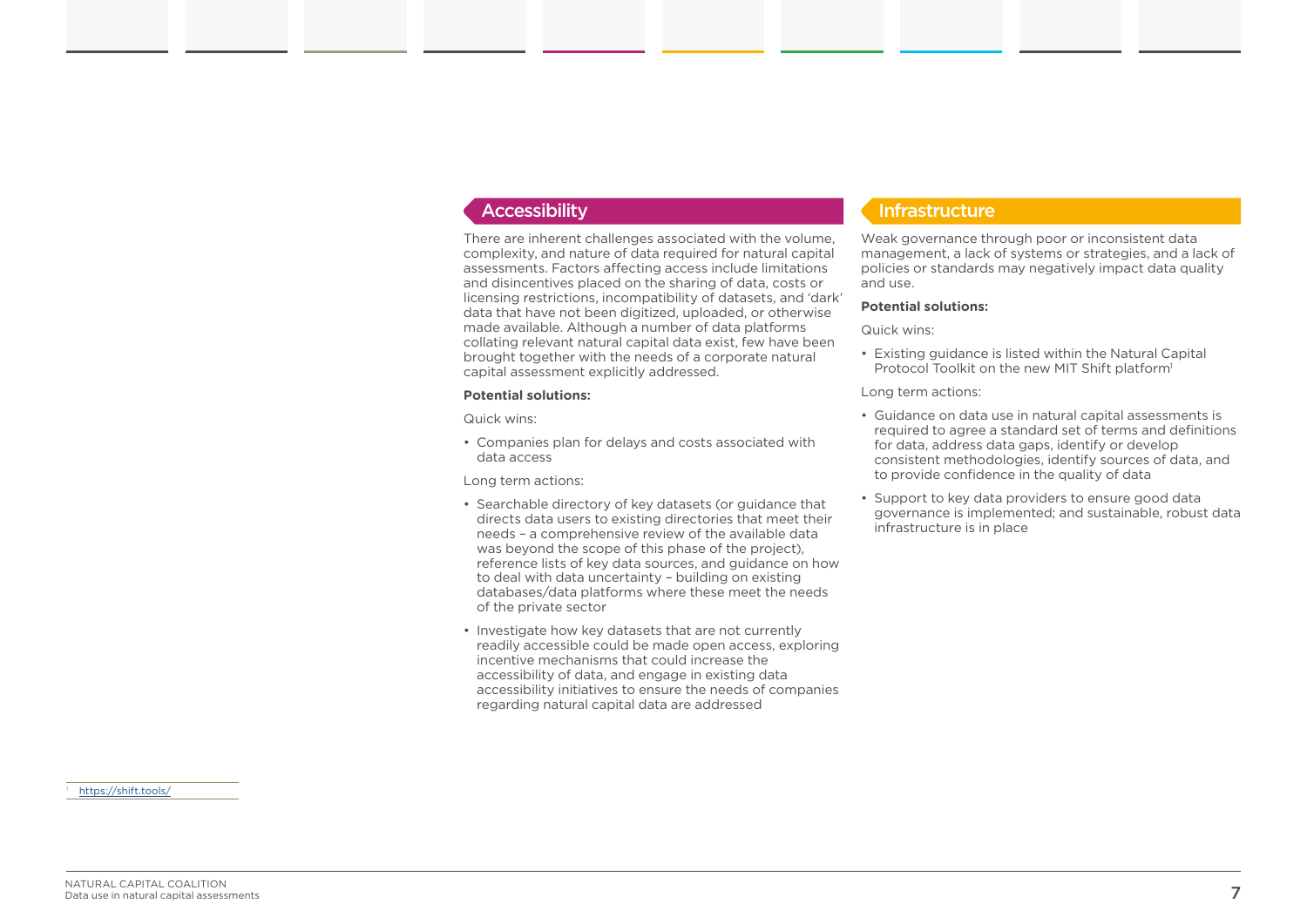There are inherent challenges associated with the volume, complexity, and nature of data required for natural capital assessments. Factors affecting access include limitations and disincentives placed on the sharing of data, costs or licensing restrictions, incompatibility of datasets, and 'dark' data that have not been digitized, uploaded, or otherwise made available. Although a number of data platforms collating relevant natural capital data exist, few have been brought together with the needs of a corporate natural capital assessment explicitly addressed.

#### **Potential solutions:**

Quick wins:

• Companies plan for delays and costs associated with data access

Long term actions:

- Searchable directory of key datasets (or guidance that directs data users to existing directories that meet their needs – a comprehensive review of the available data was beyond the scope of this phase of the project). reference lists of key data sources, and guidance on how to deal with data uncertainty – building on existing databases/data platforms where these meet the needs of the private sector
- Investigate how key datasets that are not currently readily accessible could be made open access, exploring incentive mechanisms that could increase the accessibility of data, and engage in existing data accessibility initiatives to ensure the needs of companies regarding natural capital data are addressed

#### Accessibility **Infrastructure**

Weak governance through poor or inconsistent data management, a lack of systems or strategies, and a lack of policies or standards may negatively impact data quality and use.

#### **Potential solutions:**

Quick wins:

- Existing guidance is listed within the Natural Capital Protocol Toolkit on the new MIT Shift platform<sup>1</sup>
- Long term actions:
- Guidance on data use in natural capital assessments is required to agree a standard set of terms and definitions for data, address data gaps, identify or develop consistent methodologies, identify sources of data, and to provide confidence in the quality of data
- Support to key data providers to ensure good data governance is implemented; and sustainable, robust data infrastructure is in place

<https://shift.tools/>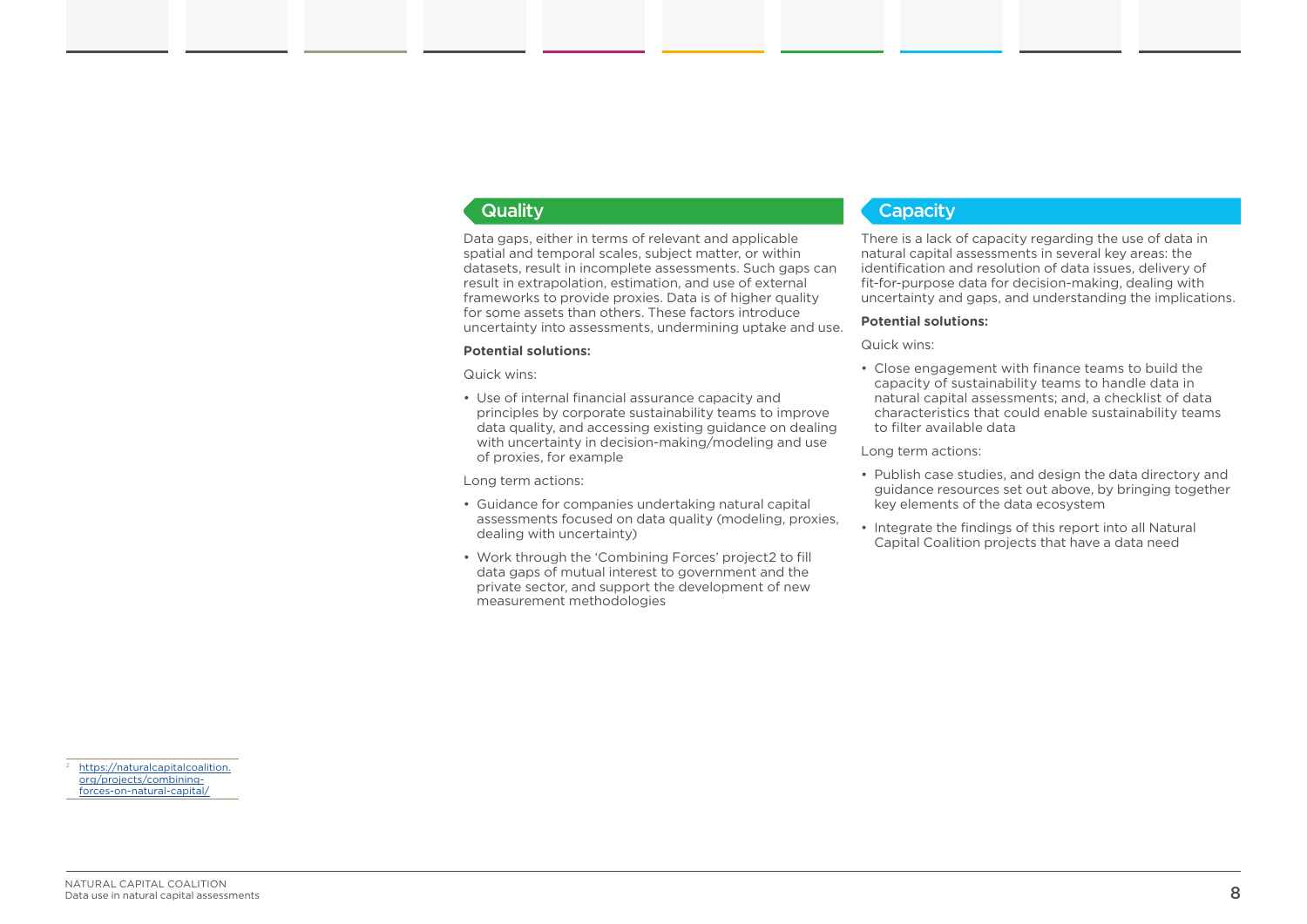Data gaps, either in terms of relevant and applicable spatial and temporal scales, subject matter, or within datasets, result in incomplete assessments. Such gaps can result in extrapolation, estimation, and use of external frameworks to provide proxies. Data is of higher quality for some assets than others. These factors introduce uncertainty into assessments, undermining uptake and use.

#### **Potential solutions:**

Quick wins:

• Use of internal financial assurance capacity and principles by corporate sustainability teams to improve data quality, and accessing existing guidance on dealing with uncertainty in decision-making/modeling and use of proxies, for example

Long term actions:

- Guidance for companies undertaking natural capital assessments focused on data quality (modeling, proxies, dealing with uncertainty)
- Work through the 'Combining Forces' project2 to fill data gaps of mutual interest to government and the private sector, and support the development of new measurement methodologies

#### **Quality Capacity Capacity**

There is a lack of capacity regarding the use of data in natural capital assessments in several key areas: the identification and resolution of data issues, delivery of fit-for-purpose data for decision-making, dealing with uncertainty and gaps, and understanding the implications.

#### **Potential solutions:**

#### Quick wins:

• Close engagement with finance teams to build the capacity of sustainability teams to handle data in natural capital assessments; and, a checklist of data characteristics that could enable sustainability teams to filter available data

#### Long term actions:

- Publish case studies, and design the data directory and guidance resources set out above, by bringing together key elements of the data ecosystem
- Integrate the findings of this report into all Natural Capital Coalition projects that have a data need

[https://naturalcapitalcoalition.](https://naturalcapitalcoalition.org/projects/combining-forces-on-natural-capital/) [org/projects/combining](https://naturalcapitalcoalition.org/projects/combining-forces-on-natural-capital/)[forces-on-natural-capital/](https://naturalcapitalcoalition.org/projects/combining-forces-on-natural-capital/)